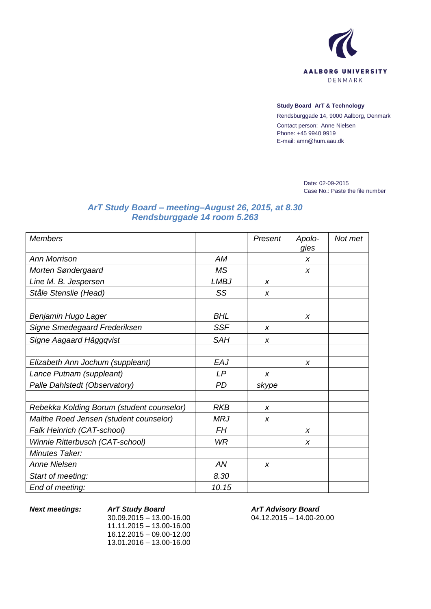

## **Study Board ArT & Technology**

Rendsburggade 14, 9000 Aalborg, Denmark Contact person: Anne Nielsen Phone: +45 9940 9919 E-mail: amn@hum.aau.dk

> Date: 02-09-2015 Case No.: Paste the file number

## *ArT Study Board – meeting–August 26, 2015, at 8.30 Rendsburggade 14 room 5.263*

| <b>Members</b>                            |             | Present | Apolo-<br>gies   | Not met |
|-------------------------------------------|-------------|---------|------------------|---------|
| <b>Ann Morrison</b>                       | AM          |         | X                |         |
| Morten Søndergaard                        | <b>MS</b>   |         | X                |         |
| Line M. B. Jespersen                      | <b>LMBJ</b> | X       |                  |         |
| Ståle Stenslie (Head)                     | SS          | X       |                  |         |
|                                           |             |         |                  |         |
| Benjamin Hugo Lager                       | <b>BHL</b>  |         | X                |         |
| Signe Smedegaard Frederiksen              | <b>SSF</b>  | X       |                  |         |
| Signe Aagaard Häggqvist                   | <b>SAH</b>  | X       |                  |         |
|                                           |             |         |                  |         |
| Elizabeth Ann Jochum (suppleant)          | EAJ         |         | $\boldsymbol{x}$ |         |
| Lance Putnam (suppleant)                  | LP          | X       |                  |         |
| Palle Dahlstedt (Observatory)             | PD          | skype   |                  |         |
|                                           |             |         |                  |         |
| Rebekka Kolding Borum (student counselor) | <b>RKB</b>  | X       |                  |         |
| Malthe Roed Jensen (student counselor)    | <b>MRJ</b>  | X       |                  |         |
| Falk Heinrich (CAT-school)                | FΗ          |         | $\boldsymbol{x}$ |         |
| Winnie Ritterbusch (CAT-school)           | <b>WR</b>   |         | X                |         |
| Minutes Taker:                            |             |         |                  |         |
| <b>Anne Nielsen</b>                       | AN          | X       |                  |         |
| Start of meeting:                         | 8.30        |         |                  |         |
| End of meeting:                           | 10.15       |         |                  |         |

*Next meetings: ArT Study Board* 30.09.2015 – 13.00-16.00 11.11.2015 – 13.00-16.00 16.12.2015 – 09.00-12.00 13.01.2016 – 13.00-16.00

*ArT Advisory Board* 04.12.2015 – 14.00-20.00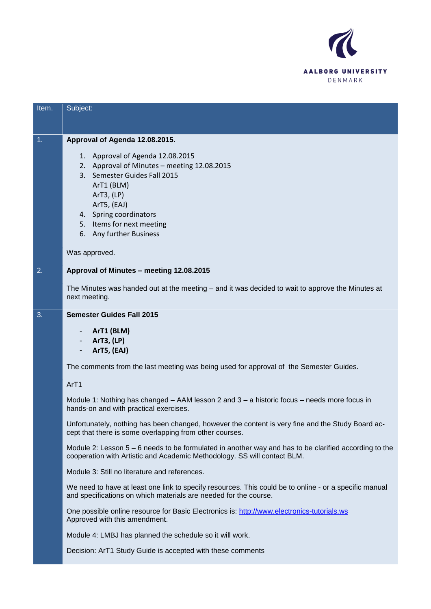

| Item. | Subject:                                                                                                                                                                                                                                                                                                                                                                                                                                                                                                                                                                                                                                                                                                                                                                                                                                                                                                                                                                                   |
|-------|--------------------------------------------------------------------------------------------------------------------------------------------------------------------------------------------------------------------------------------------------------------------------------------------------------------------------------------------------------------------------------------------------------------------------------------------------------------------------------------------------------------------------------------------------------------------------------------------------------------------------------------------------------------------------------------------------------------------------------------------------------------------------------------------------------------------------------------------------------------------------------------------------------------------------------------------------------------------------------------------|
| 1.    | Approval of Agenda 12.08.2015.<br>1. Approval of Agenda 12.08.2015<br>2. Approval of Minutes - meeting 12.08.2015<br>3. Semester Guides Fall 2015<br>ArT1 (BLM)<br>ArT3, (LP)<br>ArT5, (EAJ)<br>4. Spring coordinators<br>5. Items for next meeting<br>6. Any further Business                                                                                                                                                                                                                                                                                                                                                                                                                                                                                                                                                                                                                                                                                                             |
|       | Was approved.                                                                                                                                                                                                                                                                                                                                                                                                                                                                                                                                                                                                                                                                                                                                                                                                                                                                                                                                                                              |
| 2.    | Approval of Minutes - meeting 12.08.2015                                                                                                                                                                                                                                                                                                                                                                                                                                                                                                                                                                                                                                                                                                                                                                                                                                                                                                                                                   |
|       | The Minutes was handed out at the meeting – and it was decided to wait to approve the Minutes at<br>next meeting.                                                                                                                                                                                                                                                                                                                                                                                                                                                                                                                                                                                                                                                                                                                                                                                                                                                                          |
| 3.    | <b>Semester Guides Fall 2015</b><br>ArT1 (BLM)<br>ArT3, (LP)<br>ArT5, (EAJ)<br>The comments from the last meeting was being used for approval of the Semester Guides.                                                                                                                                                                                                                                                                                                                                                                                                                                                                                                                                                                                                                                                                                                                                                                                                                      |
|       | ArT1<br>Module 1: Nothing has changed – AAM lesson 2 and 3 – a historic focus – needs more focus in<br>hands-on and with practical exercises.<br>Unfortunately, nothing has been changed, however the content is very fine and the Study Board ac-<br>cept that there is some overlapping from other courses.<br>Module 2: Lesson 5 – 6 needs to be formulated in another way and has to be clarified according to the<br>cooperation with Artistic and Academic Methodology. SS will contact BLM.<br>Module 3: Still no literature and references.<br>We need to have at least one link to specify resources. This could be to online - or a specific manual<br>and specifications on which materials are needed for the course.<br>One possible online resource for Basic Electronics is: http://www.electronics-tutorials.ws<br>Approved with this amendment.<br>Module 4: LMBJ has planned the schedule so it will work.<br>Decision: ArT1 Study Guide is accepted with these comments |